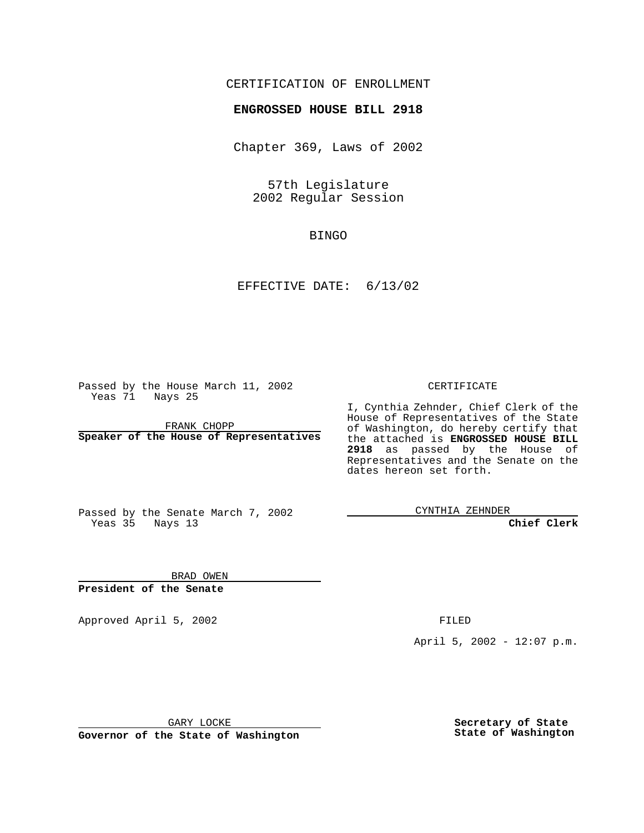## CERTIFICATION OF ENROLLMENT

## **ENGROSSED HOUSE BILL 2918**

Chapter 369, Laws of 2002

57th Legislature 2002 Regular Session

BINGO

EFFECTIVE DATE: 6/13/02

Passed by the House March 11, 2002 Yeas 71 Nays 25

FRANK CHOPP **Speaker of the House of Representatives** CERTIFICATE

I, Cynthia Zehnder, Chief Clerk of the House of Representatives of the State of Washington, do hereby certify that the attached is **ENGROSSED HOUSE BILL 2918** as passed by the House of Representatives and the Senate on the dates hereon set forth.

Passed by the Senate March 7, 2002 Yeas 35 Nays 13

CYNTHIA ZEHNDER

**Chief Clerk**

BRAD OWEN **President of the Senate**

Approved April 5, 2002 FILED

April 5, 2002 - 12:07 p.m.

GARY LOCKE

**Governor of the State of Washington**

**Secretary of State State of Washington**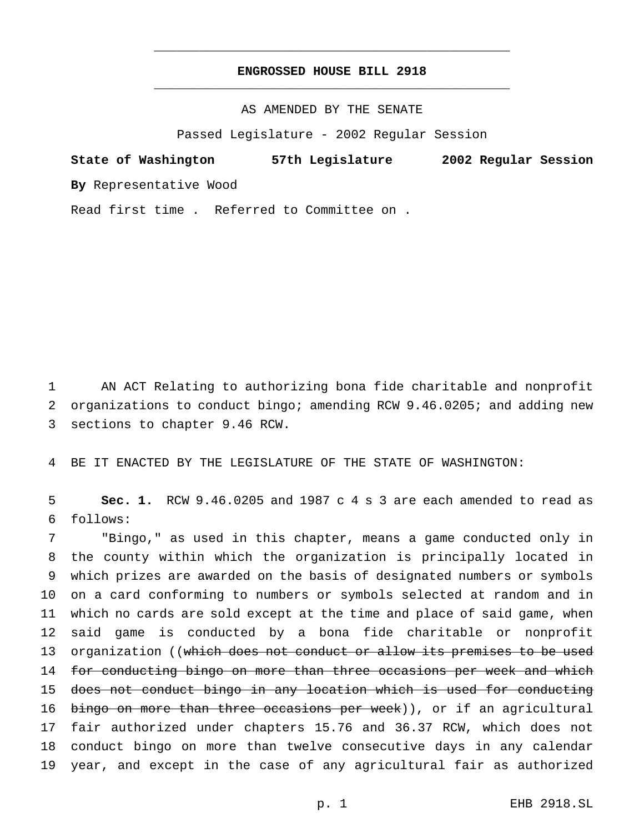## **ENGROSSED HOUSE BILL 2918** \_\_\_\_\_\_\_\_\_\_\_\_\_\_\_\_\_\_\_\_\_\_\_\_\_\_\_\_\_\_\_\_\_\_\_\_\_\_\_\_\_\_\_\_\_\_\_

\_\_\_\_\_\_\_\_\_\_\_\_\_\_\_\_\_\_\_\_\_\_\_\_\_\_\_\_\_\_\_\_\_\_\_\_\_\_\_\_\_\_\_\_\_\_\_

AS AMENDED BY THE SENATE

Passed Legislature - 2002 Regular Session

**State of Washington 57th Legislature 2002 Regular Session By** Representative Wood

Read first time . Referred to Committee on .

1 AN ACT Relating to authorizing bona fide charitable and nonprofit 2 organizations to conduct bingo; amending RCW 9.46.0205; and adding new 3 sections to chapter 9.46 RCW.

4 BE IT ENACTED BY THE LEGISLATURE OF THE STATE OF WASHINGTON:

5 **Sec. 1.** RCW 9.46.0205 and 1987 c 4 s 3 are each amended to read as 6 follows:

 "Bingo," as used in this chapter, means a game conducted only in the county within which the organization is principally located in which prizes are awarded on the basis of designated numbers or symbols on a card conforming to numbers or symbols selected at random and in which no cards are sold except at the time and place of said game, when said game is conducted by a bona fide charitable or nonprofit 13 organization ((which does not conduct or allow its premises to be used 14 for conducting bingo on more than three occasions per week and which does not conduct bingo in any location which is used for conducting 16 bingo on more than three occasions per week)), or if an agricultural fair authorized under chapters 15.76 and 36.37 RCW, which does not conduct bingo on more than twelve consecutive days in any calendar year, and except in the case of any agricultural fair as authorized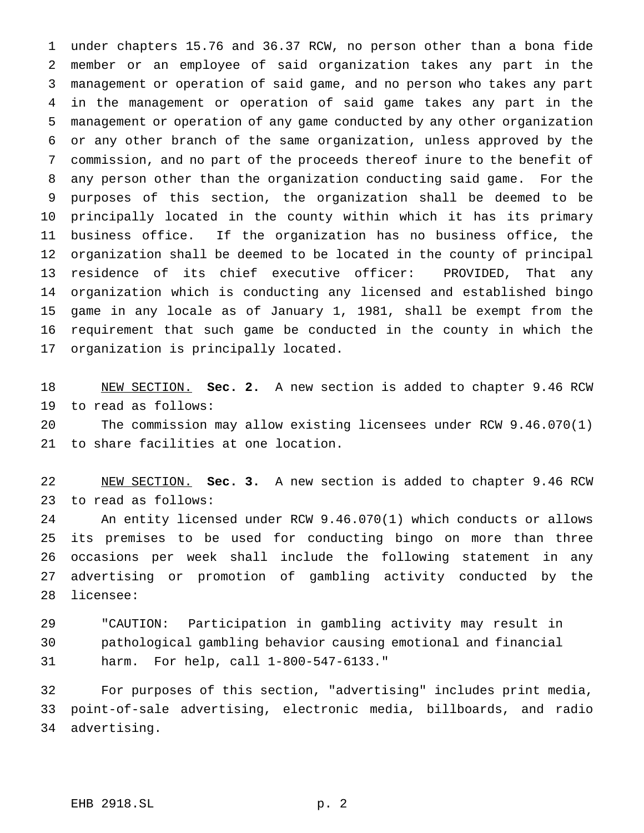under chapters 15.76 and 36.37 RCW, no person other than a bona fide member or an employee of said organization takes any part in the management or operation of said game, and no person who takes any part in the management or operation of said game takes any part in the management or operation of any game conducted by any other organization or any other branch of the same organization, unless approved by the commission, and no part of the proceeds thereof inure to the benefit of any person other than the organization conducting said game. For the purposes of this section, the organization shall be deemed to be principally located in the county within which it has its primary business office. If the organization has no business office, the organization shall be deemed to be located in the county of principal residence of its chief executive officer: PROVIDED, That any organization which is conducting any licensed and established bingo game in any locale as of January 1, 1981, shall be exempt from the requirement that such game be conducted in the county in which the organization is principally located.

 NEW SECTION. **Sec. 2.** A new section is added to chapter 9.46 RCW to read as follows:

 The commission may allow existing licensees under RCW 9.46.070(1) to share facilities at one location.

 NEW SECTION. **Sec. 3.** A new section is added to chapter 9.46 RCW to read as follows:

 An entity licensed under RCW 9.46.070(1) which conducts or allows its premises to be used for conducting bingo on more than three occasions per week shall include the following statement in any advertising or promotion of gambling activity conducted by the licensee:

 "CAUTION: Participation in gambling activity may result in pathological gambling behavior causing emotional and financial harm. For help, call 1-800-547-6133."

 For purposes of this section, "advertising" includes print media, point-of-sale advertising, electronic media, billboards, and radio advertising.